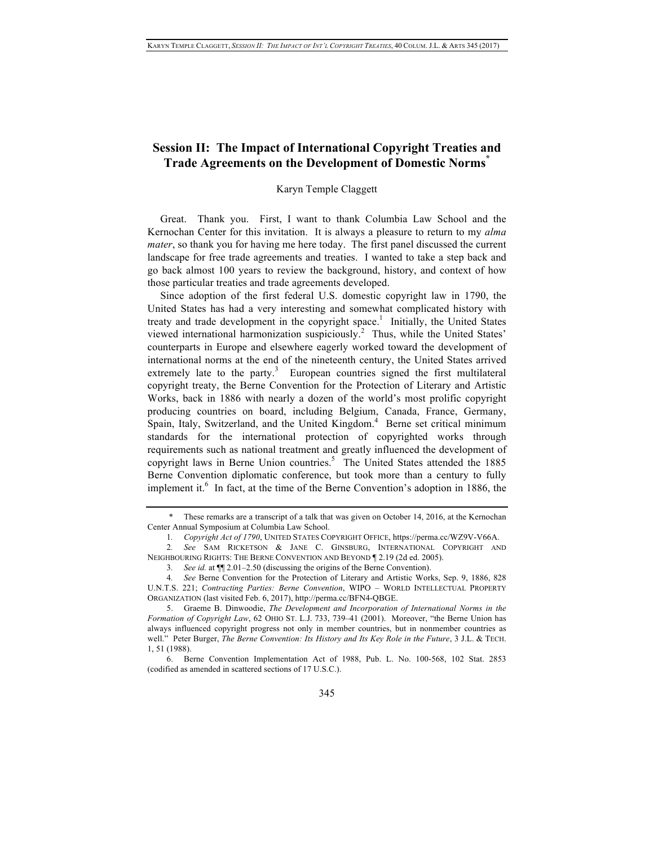# **Session II: The Impact of International Copyright Treaties and Trade Agreements on the Development of Domestic Norms\***

# Karyn Temple Claggett

Great. Thank you. First, I want to thank Columbia Law School and the Kernochan Center for this invitation. It is always a pleasure to return to my *alma mater*, so thank you for having me here today. The first panel discussed the current landscape for free trade agreements and treaties. I wanted to take a step back and go back almost 100 years to review the background, history, and context of how those particular treaties and trade agreements developed.

Since adoption of the first federal U.S. domestic copyright law in 1790, the United States has had a very interesting and somewhat complicated history with treaty and trade development in the copyright space.<sup>1</sup> Initially, the United States viewed international harmonization suspiciously.<sup>2</sup> Thus, while the United States' counterparts in Europe and elsewhere eagerly worked toward the development of international norms at the end of the nineteenth century, the United States arrived extremely late to the party.<sup>3</sup> European countries signed the first multilateral copyright treaty, the Berne Convention for the Protection of Literary and Artistic Works, back in 1886 with nearly a dozen of the world's most prolific copyright producing countries on board, including Belgium, Canada, France, Germany, Spain, Italy, Switzerland, and the United Kingdom.<sup>4</sup> Berne set critical minimum standards for the international protection of copyrighted works through requirements such as national treatment and greatly influenced the development of copyright laws in Berne Union countries.<sup>5</sup> The United States attended the 1885 Berne Convention diplomatic conference, but took more than a century to fully implement it.<sup>6</sup> In fact, at the time of the Berne Convention's adoption in 1886, the

These remarks are a transcript of a talk that was given on October 14, 2016, at the Kernochan Center Annual Symposium at Columbia Law School.

<sup>1</sup>*. Copyright Act of 1790*, UNITED STATES COPYRIGHT OFFICE, https://perma.cc/WZ9V-V66A.

<sup>2</sup>*. See* SAM RICKETSON & JANE C. GINSBURG, INTERNATIONAL COPYRIGHT AND NEIGHBOURING RIGHTS: THE BERNE CONVENTION AND BEYOND ¶ 2.19 (2d ed. 2005).

<sup>3</sup>*. See id.* at ¶¶ 2.01–2.50 (discussing the origins of the Berne Convention).

<sup>4</sup>*. See* Berne Convention for the Protection of Literary and Artistic Works, Sep. 9, 1886, 828 U.N.T.S. 221; *Contracting Parties: Berne Convention*, WIPO – WORLD INTELLECTUAL PROPERTY ORGANIZATION (last visited Feb. 6, 2017), http://perma.cc/BFN4-QBGE.

<sup>5.</sup> Graeme B. Dinwoodie, *The Development and Incorporation of International Norms in the Formation of Copyright Law*, 62 OHIO ST. L.J. 733, 739–41 (2001). Moreover, "the Berne Union has always influenced copyright progress not only in member countries, but in nonmember countries as well." Peter Burger, *The Berne Convention: Its History and Its Key Role in the Future*, 3 J.L. & TECH. 1, 51 (1988).

<sup>6.</sup> Berne Convention Implementation Act of 1988, Pub. L. No. 100-568, 102 Stat. 2853 (codified as amended in scattered sections of 17 U.S.C.).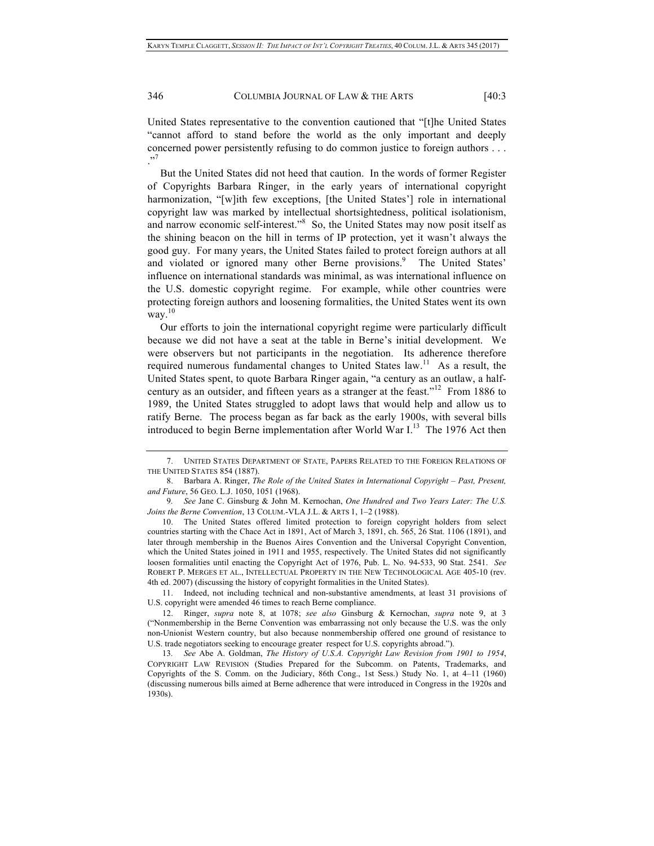346 COLUMBIA JOURNAL OF LAW & THE ARTS [40:3]

United States representative to the convention cautioned that "[t]he United States "cannot afford to stand before the world as the only important and deeply concerned power persistently refusing to do common justice to foreign authors . . . ."7

But the United States did not heed that caution. In the words of former Register of Copyrights Barbara Ringer, in the early years of international copyright harmonization, "[w]ith few exceptions, [the United States'] role in international copyright law was marked by intellectual shortsightedness, political isolationism, and narrow economic self-interest."<sup>8</sup> So, the United States may now posit itself as the shining beacon on the hill in terms of IP protection, yet it wasn't always the good guy. For many years, the United States failed to protect foreign authors at all and violated or ignored many other Berne provisions.<sup>9</sup> The United States' influence on international standards was minimal, as was international influence on the U.S. domestic copyright regime. For example, while other countries were protecting foreign authors and loosening formalities, the United States went its own way.<sup>10</sup>

Our efforts to join the international copyright regime were particularly difficult because we did not have a seat at the table in Berne's initial development. We were observers but not participants in the negotiation. Its adherence therefore required numerous fundamental changes to United States  $law$ <sup>11</sup>. As a result, the United States spent, to quote Barbara Ringer again, "a century as an outlaw, a halfcentury as an outsider, and fifteen years as a stranger at the feast."12 From 1886 to 1989, the United States struggled to adopt laws that would help and allow us to ratify Berne. The process began as far back as the early 1900s, with several bills introduced to begin Berne implementation after World War  $I<sup>13</sup>$ . The 1976 Act then

11. Indeed, not including technical and non-substantive amendments, at least 31 provisions of U.S. copyright were amended 46 times to reach Berne compliance.

<sup>7.</sup> UNITED STATES DEPARTMENT OF STATE, PAPERS RELATED TO THE FOREIGN RELATIONS OF THE UNITED STATES 854 (1887).

<sup>8.</sup> Barbara A. Ringer, *The Role of the United States in International Copyright – Past, Present, and Future*, 56 GEO. L.J. 1050, 1051 (1968).

<sup>9</sup>*. See* Jane C. Ginsburg & John M. Kernochan, *One Hundred and Two Years Later: The U.S. Joins the Berne Convention*, 13 COLUM.-VLA J.L. & ARTS 1, 1–2 (1988).

<sup>10.</sup> The United States offered limited protection to foreign copyright holders from select countries starting with the Chace Act in 1891, Act of March 3, 1891, ch. 565, 26 Stat. 1106 (1891), and later through membership in the Buenos Aires Convention and the Universal Copyright Convention, which the United States joined in 1911 and 1955, respectively. The United States did not significantly loosen formalities until enacting the Copyright Act of 1976, Pub. L. No. 94-533, 90 Stat. 2541. *See* ROBERT P. MERGES ET AL., INTELLECTUAL PROPERTY IN THE NEW TECHNOLOGICAL AGE 405-10 (rev. 4th ed. 2007) (discussing the history of copyright formalities in the United States).

<sup>12.</sup> Ringer, *supra* note 8, at 1078; *see also* Ginsburg & Kernochan, *supra* note 9, at 3 ("Nonmembership in the Berne Convention was embarrassing not only because the U.S. was the only non-Unionist Western country, but also because nonmembership offered one ground of resistance to U.S. trade negotiators seeking to encourage greater respect for U.S. copyrights abroad.").

<sup>13</sup>*. See* Abe A. Goldman, *The History of U.S.A. Copyright Law Revision from 1901 to 1954*, COPYRIGHT LAW REVISION (Studies Prepared for the Subcomm. on Patents, Trademarks, and Copyrights of the S. Comm. on the Judiciary, 86th Cong., 1st Sess.) Study No. 1, at 4–11 (1960) (discussing numerous bills aimed at Berne adherence that were introduced in Congress in the 1920s and 1930s).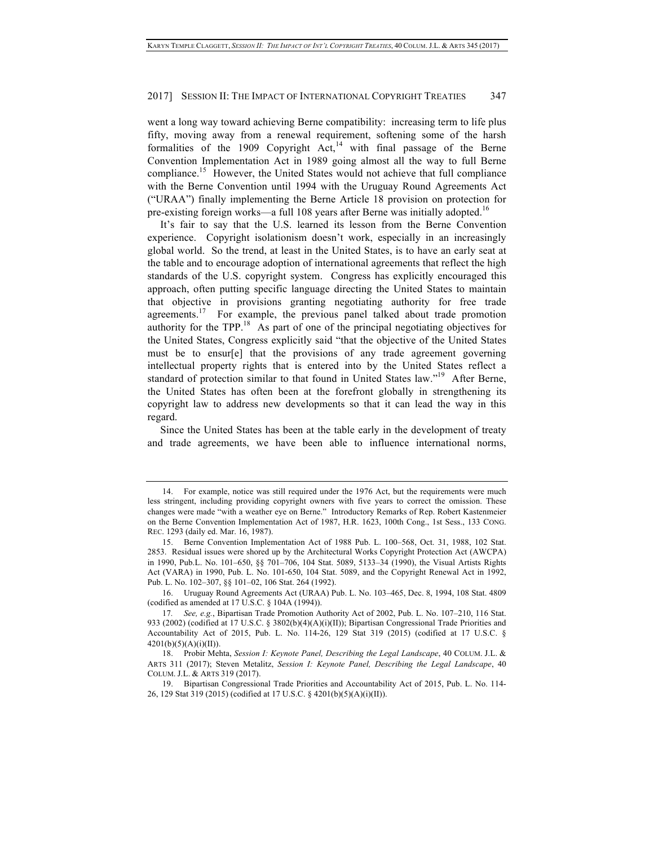#### 2017] SESSION II: THE IMPACT OF INTERNATIONAL COPYRIGHT TREATIES 347

went a long way toward achieving Berne compatibility: increasing term to life plus fifty, moving away from a renewal requirement, softening some of the harsh formalities of the 1909 Copyright Act,<sup>14</sup> with final passage of the Berne Convention Implementation Act in 1989 going almost all the way to full Berne compliance.15 However, the United States would not achieve that full compliance with the Berne Convention until 1994 with the Uruguay Round Agreements Act ("URAA") finally implementing the Berne Article 18 provision on protection for pre-existing foreign works—a full 108 years after Berne was initially adopted.<sup>16</sup>

It's fair to say that the U.S. learned its lesson from the Berne Convention experience. Copyright isolationism doesn't work, especially in an increasingly global world. So the trend, at least in the United States, is to have an early seat at the table and to encourage adoption of international agreements that reflect the high standards of the U.S. copyright system. Congress has explicitly encouraged this approach, often putting specific language directing the United States to maintain that objective in provisions granting negotiating authority for free trade agreements.<sup>17</sup> For example, the previous panel talked about trade promotion authority for the TPP.18 As part of one of the principal negotiating objectives for the United States, Congress explicitly said "that the objective of the United States must be to ensur[e] that the provisions of any trade agreement governing intellectual property rights that is entered into by the United States reflect a standard of protection similar to that found in United States law."<sup>19</sup> After Berne, the United States has often been at the forefront globally in strengthening its copyright law to address new developments so that it can lead the way in this regard.

Since the United States has been at the table early in the development of treaty and trade agreements, we have been able to influence international norms,

16. Uruguay Round Agreements Act (URAA) Pub. L. No. 103–465, Dec. 8, 1994, 108 Stat. 4809 (codified as amended at 17 U.S.C. § 104A (1994)).

<sup>14.</sup> For example, notice was still required under the 1976 Act, but the requirements were much less stringent, including providing copyright owners with five years to correct the omission. These changes were made "with a weather eye on Berne." Introductory Remarks of Rep. Robert Kastenmeier on the Berne Convention Implementation Act of 1987, H.R. 1623, 100th Cong., 1st Sess., 133 CONG. REC. 1293 (daily ed. Mar. 16, 1987).

<sup>15.</sup> Berne Convention Implementation Act of 1988 Pub. L. 100–568, Oct. 31, 1988, 102 Stat. 2853. Residual issues were shored up by the Architectural Works Copyright Protection Act (AWCPA) in 1990, Pub.L. No. 101–650, §§ 701–706, 104 Stat. 5089, 5133–34 (1990), the Visual Artists Rights Act (VARA) in 1990, Pub. L. No. 101-650, 104 Stat. 5089, and the Copyright Renewal Act in 1992, Pub. L. No. 102–307, §§ 101–02, 106 Stat. 264 (1992).

<sup>17</sup>*. See, e.g.*, Bipartisan Trade Promotion Authority Act of 2002, Pub. L. No. 107–210, 116 Stat. 933 (2002) (codified at 17 U.S.C. § 3802(b)(4)(A)(i)(II)); Bipartisan Congressional Trade Priorities and Accountability Act of 2015, Pub. L. No. 114-26, 129 Stat 319 (2015) (codified at 17 U.S.C. §  $4201(b)(5)(A)(i)(II)).$ 

<sup>18.</sup> Probir Mehta, *Session I: Keynote Panel, Describing the Legal Landscape*, 40 COLUM. J.L. & ARTS 311 (2017); Steven Metalitz, *Session I: Keynote Panel, Describing the Legal Landscape*, 40 COLUM. J.L. & ARTS 319 (2017).

<sup>19.</sup> Bipartisan Congressional Trade Priorities and Accountability Act of 2015, Pub. L. No. 114- 26, 129 Stat 319 (2015) (codified at 17 U.S.C. § 4201(b)(5)(A)(i)(II)).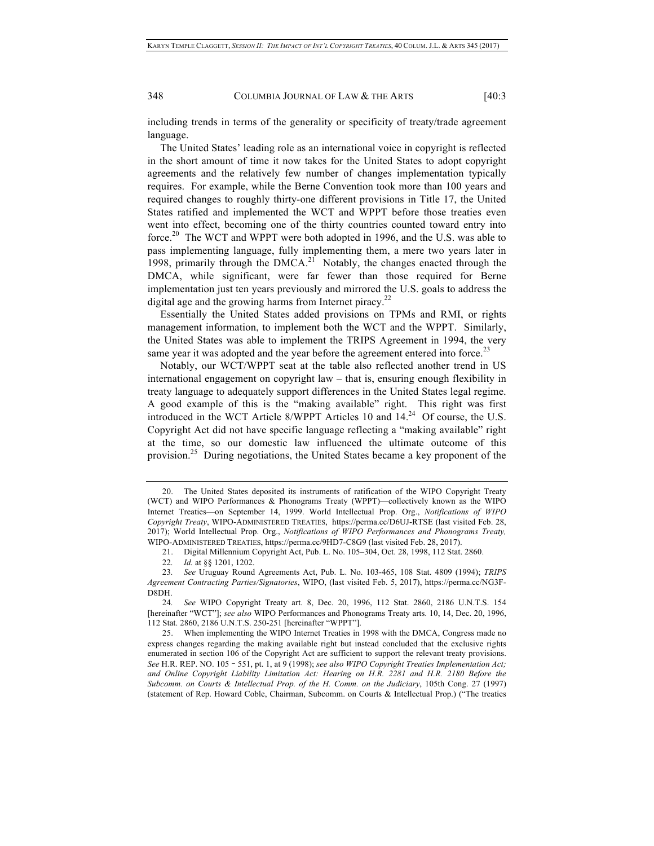348 COLUMBIA JOURNAL OF LAW & THE ARTS [40:3]

including trends in terms of the generality or specificity of treaty/trade agreement language.

The United States' leading role as an international voice in copyright is reflected in the short amount of time it now takes for the United States to adopt copyright agreements and the relatively few number of changes implementation typically requires. For example, while the Berne Convention took more than 100 years and required changes to roughly thirty-one different provisions in Title 17, the United States ratified and implemented the WCT and WPPT before those treaties even went into effect, becoming one of the thirty countries counted toward entry into force.20 The WCT and WPPT were both adopted in 1996, and the U.S. was able to pass implementing language, fully implementing them, a mere two years later in 1998, primarily through the DMCA.<sup>21</sup> Notably, the changes enacted through the DMCA, while significant, were far fewer than those required for Berne implementation just ten years previously and mirrored the U.S. goals to address the digital age and the growing harms from Internet piracy.<sup>22</sup>

Essentially the United States added provisions on TPMs and RMI, or rights management information, to implement both the WCT and the WPPT. Similarly, the United States was able to implement the TRIPS Agreement in 1994, the very same year it was adopted and the year before the agreement entered into force.<sup>23</sup>

Notably, our WCT/WPPT seat at the table also reflected another trend in US international engagement on copyright law – that is, ensuring enough flexibility in treaty language to adequately support differences in the United States legal regime. A good example of this is the "making available" right. This right was first introduced in the WCT Article 8/WPPT Articles 10 and  $14.^{24}$  Of course, the U.S. Copyright Act did not have specific language reflecting a "making available" right at the time, so our domestic law influenced the ultimate outcome of this provision.25 During negotiations, the United States became a key proponent of the

<sup>20.</sup> The United States deposited its instruments of ratification of the WIPO Copyright Treaty (WCT) and WIPO Performances & Phonograms Treaty (WPPT)—collectively known as the WIPO Internet Treaties—on September 14, 1999. World Intellectual Prop. Org., *Notifications of WIPO Copyright Treaty*, WIPO-ADMINISTERED TREATIES, https://perma.cc/D6UJ-RTSE (last visited Feb. 28, 2017); World Intellectual Prop. Org., *Notifications of WIPO Performances and Phonograms Treaty,* WIPO-ADMINISTERED TREATIES, https://perma.cc/9HD7-C8G9 (last visited Feb. 28, 2017).

<sup>21.</sup> Digital Millennium Copyright Act, Pub. L. No. 105–304, Oct. 28, 1998, 112 Stat. 2860.

<sup>22</sup>*. Id.* at §§ 1201, 1202.

<sup>23</sup>*. See* Uruguay Round Agreements Act, Pub. L. No. 103-465, 108 Stat. 4809 (1994); *TRIPS Agreement Contracting Parties/Signatories*, WIPO, (last visited Feb. 5, 2017), https://perma.cc/NG3F-D8DH.

<sup>24</sup>*. See* WIPO Copyright Treaty art. 8, Dec. 20, 1996, 112 Stat. 2860, 2186 U.N.T.S. 154 [hereinafter "WCT"]; *see also* WIPO Performances and Phonograms Treaty arts. 10, 14, Dec. 20, 1996, 112 Stat. 2860, 2186 U.N.T.S. 250-251 [hereinafter "WPPT"].

<sup>25.</sup> When implementing the WIPO Internet Treaties in 1998 with the DMCA, Congress made no express changes regarding the making available right but instead concluded that the exclusive rights enumerated in section 106 of the Copyright Act are sufficient to support the relevant treaty provisions. *See* H.R. REP. NO. 105–551, pt. 1, at 9 (1998); *see also WIPO Copyright Treaties Implementation Act; and Online Copyright Liability Limitation Act: Hearing on H.R. 2281 and H.R. 2180 Before the Subcomm. on Courts & Intellectual Prop. of the H. Comm. on the Judiciary*, 105th Cong. 27 (1997) (statement of Rep. Howard Coble, Chairman, Subcomm. on Courts & Intellectual Prop.) ("The treaties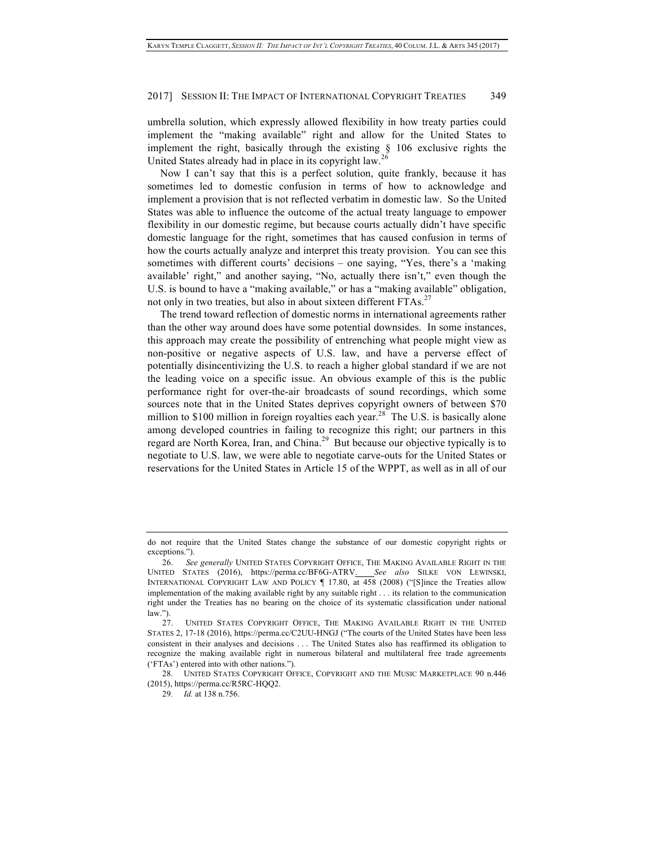## 2017] SESSION II: THE IMPACT OF INTERNATIONAL COPYRIGHT TREATIES 349

umbrella solution, which expressly allowed flexibility in how treaty parties could implement the "making available" right and allow for the United States to implement the right, basically through the existing  $\S$  106 exclusive rights the United States already had in place in its copyright law.<sup>26</sup>

Now I can't say that this is a perfect solution, quite frankly, because it has sometimes led to domestic confusion in terms of how to acknowledge and implement a provision that is not reflected verbatim in domestic law. So the United States was able to influence the outcome of the actual treaty language to empower flexibility in our domestic regime, but because courts actually didn't have specific domestic language for the right, sometimes that has caused confusion in terms of how the courts actually analyze and interpret this treaty provision. You can see this sometimes with different courts' decisions – one saying, "Yes, there's a 'making available' right," and another saying, "No, actually there isn't," even though the U.S. is bound to have a "making available," or has a "making available" obligation, not only in two treaties, but also in about sixteen different  $FTAs.<sup>27</sup>$ 

The trend toward reflection of domestic norms in international agreements rather than the other way around does have some potential downsides. In some instances, this approach may create the possibility of entrenching what people might view as non-positive or negative aspects of U.S. law, and have a perverse effect of potentially disincentivizing the U.S. to reach a higher global standard if we are not the leading voice on a specific issue. An obvious example of this is the public performance right for over-the-air broadcasts of sound recordings, which some sources note that in the United States deprives copyright owners of between \$70 million to \$100 million in foreign royalties each year.<sup>28</sup> The U.S. is basically alone among developed countries in failing to recognize this right; our partners in this regard are North Korea, Iran, and China.<sup>29</sup> But because our objective typically is to negotiate to U.S. law, we were able to negotiate carve-outs for the United States or reservations for the United States in Article 15 of the WPPT, as well as in all of our

do not require that the United States change the substance of our domestic copyright rights or exceptions.").

<sup>26.</sup> *See generally* UNITED STATES COPYRIGHT OFFICE, THE MAKING AVAILABLE RIGHT IN THE UNITED STATES (2016), https://perma.cc/BF6G-ATRV. *See also* SILKE VON LEWINSKI, INTERNATIONAL COPYRIGHT LAW AND POLICY ¶ 17.80, at 458 (2008) ("[S]ince the Treaties allow implementation of the making available right by any suitable right . . . its relation to the communication right under the Treaties has no bearing on the choice of its systematic classification under national  $law.'')$ 

<sup>27.</sup> UNITED STATES COPYRIGHT OFFICE, THE MAKING AVAILABLE RIGHT IN THE UNITED STATES 2, 17-18 (2016), https://perma.cc/C2UU-HNGJ ("The courts of the United States have been less consistent in their analyses and decisions . . . The United States also has reaffirmed its obligation to recognize the making available right in numerous bilateral and multilateral free trade agreements ('FTAs') entered into with other nations.").

<sup>28</sup>*.* UNITED STATES COPYRIGHT OFFICE, COPYRIGHT AND THE MUSIC MARKETPLACE 90 n.446 (2015), https://perma.cc/R5RC-HQQ2.

<sup>29</sup>*. Id.* at 138 n.756.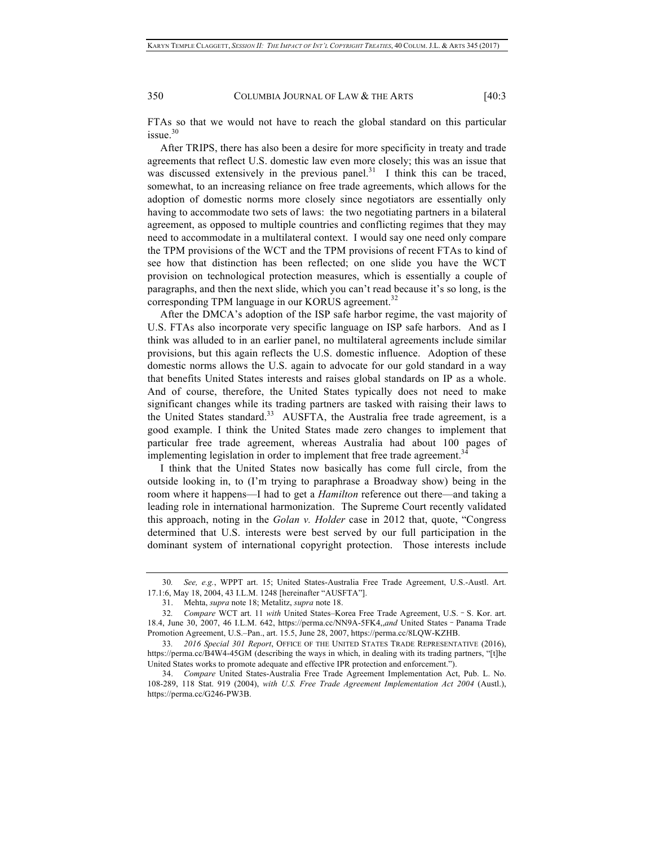350 COLUMBIA JOURNAL OF LAW & THE ARTS [40:3]

FTAs so that we would not have to reach the global standard on this particular  $i$ ssue. $30$ 

After TRIPS, there has also been a desire for more specificity in treaty and trade agreements that reflect U.S. domestic law even more closely; this was an issue that was discussed extensively in the previous panel.<sup>31</sup> I think this can be traced, somewhat, to an increasing reliance on free trade agreements, which allows for the adoption of domestic norms more closely since negotiators are essentially only having to accommodate two sets of laws: the two negotiating partners in a bilateral agreement, as opposed to multiple countries and conflicting regimes that they may need to accommodate in a multilateral context. I would say one need only compare the TPM provisions of the WCT and the TPM provisions of recent FTAs to kind of see how that distinction has been reflected; on one slide you have the WCT provision on technological protection measures, which is essentially a couple of paragraphs, and then the next slide, which you can't read because it's so long, is the corresponding TPM language in our KORUS agreement. $32$ 

After the DMCA's adoption of the ISP safe harbor regime, the vast majority of U.S. FTAs also incorporate very specific language on ISP safe harbors. And as I think was alluded to in an earlier panel, no multilateral agreements include similar provisions, but this again reflects the U.S. domestic influence. Adoption of these domestic norms allows the U.S. again to advocate for our gold standard in a way that benefits United States interests and raises global standards on IP as a whole. And of course, therefore, the United States typically does not need to make significant changes while its trading partners are tasked with raising their laws to the United States standard.<sup>33</sup> AUSFTA, the Australia free trade agreement, is a good example. I think the United States made zero changes to implement that particular free trade agreement, whereas Australia had about 100 pages of implementing legislation in order to implement that free trade agreement.<sup>34</sup>

I think that the United States now basically has come full circle, from the outside looking in, to (I'm trying to paraphrase a Broadway show) being in the room where it happens—I had to get a *Hamilton* reference out there—and taking a leading role in international harmonization. The Supreme Court recently validated this approach, noting in the *Golan v. Holder* case in 2012 that, quote, "Congress determined that U.S. interests were best served by our full participation in the dominant system of international copyright protection. Those interests include

<sup>30</sup>*. See, e.g.*, WPPT art. 15; United States-Australia Free Trade Agreement, U.S.-Austl. Art. 17.1:6, May 18, 2004, 43 I.L.M. 1248 [hereinafter "AUSFTA"].

<sup>31.</sup> Mehta, *supra* note 18; Metalitz, *supra* note 18.

<sup>32</sup>*. Compare* WCT art. 11 *with* United States–Korea Free Trade Agreement, U.S.–S. Kor. art. 18.4, June 30, 2007, 46 I.L.M. 642, https://perma.cc/NN9A-5FK4,,*and* United States–Panama Trade Promotion Agreement, U.S.–Pan., art. 15.5, June 28, 2007, https://perma.cc/8LQW-KZHB.

<sup>33</sup>*. 2016 Special 301 Report*, OFFICE OF THE UNITED STATES TRADE REPRESENTATIVE (2016), https://perma.cc/B4W4-45GM (describing the ways in which, in dealing with its trading partners, "[t]he United States works to promote adequate and effective IPR protection and enforcement.").

<sup>34.</sup> *Compare* United States-Australia Free Trade Agreement Implementation Act, Pub. L. No. 108-289, 118 Stat. 919 (2004), *with U.S. Free Trade Agreement Implementation Act 2004* (Austl.), https://perma.cc/G246-PW3B.